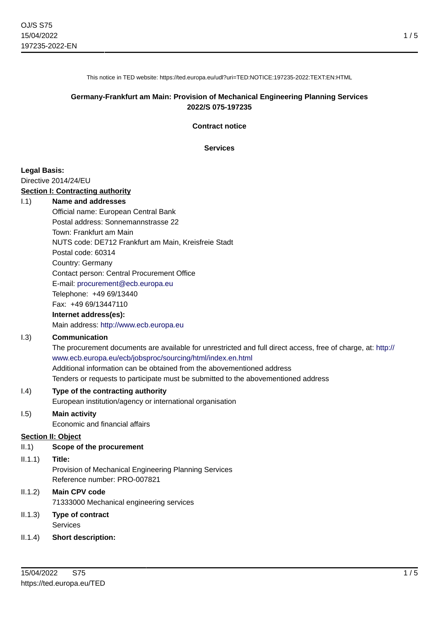1 / 5

This notice in TED website: https://ted.europa.eu/udl?uri=TED:NOTICE:197235-2022:TEXT:EN:HTML

### **Germany-Frankfurt am Main: Provision of Mechanical Engineering Planning Services 2022/S 075-197235**

**Contract notice**

**Services**

#### **Legal Basis:**

Directive 2014/24/EU

#### **Section I: Contracting authority**

#### I.1) **Name and addresses**

Official name: European Central Bank Postal address: Sonnemannstrasse 22 Town: Frankfurt am Main NUTS code: DE712 Frankfurt am Main, Kreisfreie Stadt Postal code: 60314 Country: Germany Contact person: Central Procurement Office E-mail: [procurement@ecb.europa.eu](mailto:procurement@ecb.europa.eu) Telephone: +49 69/13440 Fax: +49 69/13447110

### **Internet address(es):**

Main address:<http://www.ecb.europa.eu>

### I.3) **Communication**

The procurement documents are available for unrestricted and full direct access, free of charge, at: [http://](http://www.ecb.europa.eu/ecb/jobsproc/sourcing/html/index.en.html) [www.ecb.europa.eu/ecb/jobsproc/sourcing/html/index.en.html](http://www.ecb.europa.eu/ecb/jobsproc/sourcing/html/index.en.html) Additional information can be obtained from the abovementioned address Tenders or requests to participate must be submitted to the abovementioned address

#### I.4) **Type of the contracting authority**

European institution/agency or international organisation

### I.5) **Main activity**

Economic and financial affairs

#### **Section II: Object**

II.1) **Scope of the procurement**

#### II.1.1) **Title:**

Provision of Mechanical Engineering Planning Services Reference number: PRO-007821

## II.1.2) **Main CPV code**

71333000 Mechanical engineering services

#### II.1.3) **Type of contract** Services

II.1.4) **Short description:**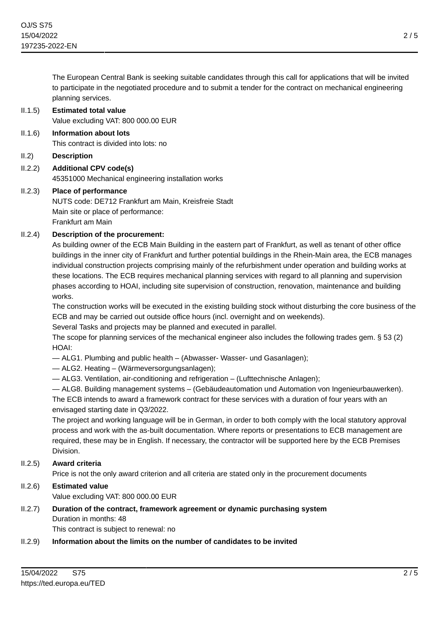The European Central Bank is seeking suitable candidates through this call for applications that will be invited to participate in the negotiated procedure and to submit a tender for the contract on mechanical engineering planning services.

#### II.1.5) **Estimated total value**

Value excluding VAT: 800 000.00 EUR

- II.1.6) **Information about lots** This contract is divided into lots: no
- II.2) **Description**
- II.2.2) **Additional CPV code(s)** 45351000 Mechanical engineering installation works

### II.2.3) **Place of performance**

NUTS code: DE712 Frankfurt am Main, Kreisfreie Stadt Main site or place of performance: Frankfurt am Main

### II.2.4) **Description of the procurement:**

As building owner of the ECB Main Building in the eastern part of Frankfurt, as well as tenant of other office buildings in the inner city of Frankfurt and further potential buildings in the Rhein-Main area, the ECB manages individual construction projects comprising mainly of the refurbishment under operation and building works at these locations. The ECB requires mechanical planning services with regard to all planning and supervision phases according to HOAI, including site supervision of construction, renovation, maintenance and building works.

The construction works will be executed in the existing building stock without disturbing the core business of the ECB and may be carried out outside office hours (incl. overnight and on weekends).

Several Tasks and projects may be planned and executed in parallel.

The scope for planning services of the mechanical engineer also includes the following trades gem. § 53 (2) HOAI:

- ALG1. Plumbing and public health (Abwasser- Wasser- und Gasanlagen);
- ALG2. Heating (Wärmeversorgungsanlagen);
- ALG3. Ventilation, air-conditioning and refrigeration (Lufttechnische Anlagen);

— ALG8. Building management systems – (Gebäudeautomation und Automation von Ingenieurbauwerken). The ECB intends to award a framework contract for these services with a duration of four years with an envisaged starting date in Q3/2022.

The project and working language will be in German, in order to both comply with the local statutory approval process and work with the as-built documentation. Where reports or presentations to ECB management are required, these may be in English. If necessary, the contractor will be supported here by the ECB Premises Division.

## II.2.5) **Award criteria**

Price is not the only award criterion and all criteria are stated only in the procurement documents

## II.2.6) **Estimated value**

Value excluding VAT: 800 000.00 EUR

#### II.2.7) **Duration of the contract, framework agreement or dynamic purchasing system** Duration in months: 48 This contract is subject to renewal: no

## II.2.9) **Information about the limits on the number of candidates to be invited**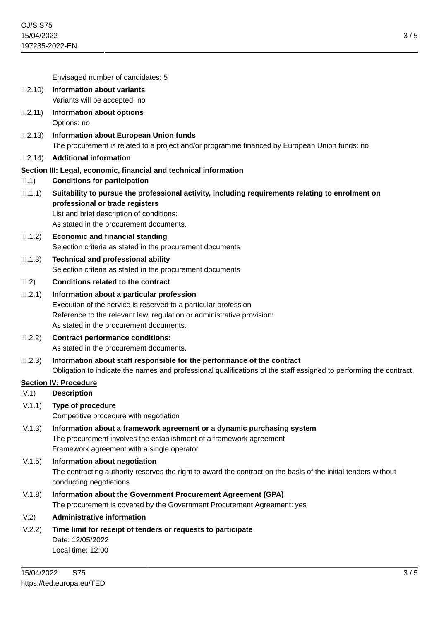3 / 5

Envisaged number of candidates: 5

- II.2.10) **Information about variants** Variants will be accepted: no
- II.2.11) **Information about options** Options: no
- II.2.13) **Information about European Union funds** The procurement is related to a project and/or programme financed by European Union funds: no
- II.2.14) **Additional information**

### **Section III: Legal, economic, financial and technical information**

- III.1) **Conditions for participation**
- III.1.1) **Suitability to pursue the professional activity, including requirements relating to enrolment on professional or trade registers** List and brief description of conditions:

As stated in the procurement documents.

- III.1.2) **Economic and financial standing** Selection criteria as stated in the procurement documents
- III.1.3) **Technical and professional ability** Selection criteria as stated in the procurement documents
- III.2) **Conditions related to the contract**
- III.2.1) **Information about a particular profession** Execution of the service is reserved to a particular profession Reference to the relevant law, regulation or administrative provision: As stated in the procurement documents.
- III.2.2) **Contract performance conditions:** As stated in the procurement documents.
- III.2.3) **Information about staff responsible for the performance of the contract** Obligation to indicate the names and professional qualifications of the staff assigned to performing the contract

#### **Section IV: Procedure**

- IV.1) **Description**
- IV.1.1) **Type of procedure** Competitive procedure with negotiation
- IV.1.3) **Information about a framework agreement or a dynamic purchasing system** The procurement involves the establishment of a framework agreement Framework agreement with a single operator
- IV.1.5) **Information about negotiation** The contracting authority reserves the right to award the contract on the basis of the initial tenders without conducting negotiations
- IV.1.8) **Information about the Government Procurement Agreement (GPA)** The procurement is covered by the Government Procurement Agreement: yes
- IV.2) **Administrative information**
- IV.2.2) **Time limit for receipt of tenders or requests to participate** Date: 12/05/2022 Local time: 12:00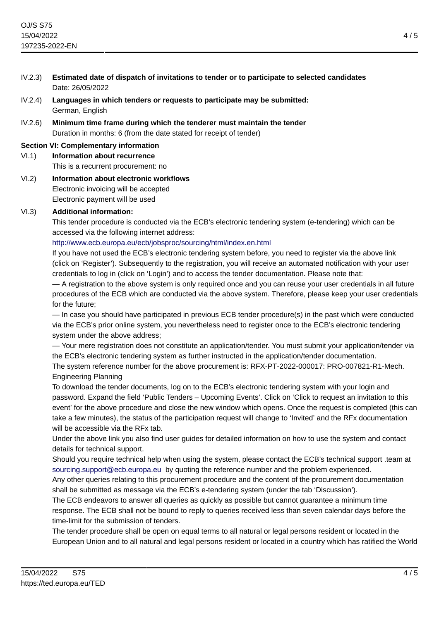- IV.2.3) **Estimated date of dispatch of invitations to tender or to participate to selected candidates** Date: 26/05/2022
- IV.2.4) **Languages in which tenders or requests to participate may be submitted:** German, English
- IV.2.6) **Minimum time frame during which the tenderer must maintain the tender** Duration in months: 6 (from the date stated for receipt of tender)

## **Section VI: Complementary information**

VI.1) **Information about recurrence**

This is a recurrent procurement: no

VI.2) **Information about electronic workflows** Electronic invoicing will be accepted Electronic payment will be used

## VI.3) **Additional information:**

This tender procedure is conducted via the ECB's electronic tendering system (e-tendering) which can be accessed via the following internet address:

## <http://www.ecb.europa.eu/ecb/jobsproc/sourcing/html/index.en.html>

If you have not used the ECB's electronic tendering system before, you need to register via the above link (click on 'Register'). Subsequently to the registration, you will receive an automated notification with your user credentials to log in (click on 'Login') and to access the tender documentation. Please note that:

— A registration to the above system is only required once and you can reuse your user credentials in all future procedures of the ECB which are conducted via the above system. Therefore, please keep your user credentials for the future;

— In case you should have participated in previous ECB tender procedure(s) in the past which were conducted via the ECB's prior online system, you nevertheless need to register once to the ECB's electronic tendering system under the above address;

— Your mere registration does not constitute an application/tender. You must submit your application/tender via the ECB's electronic tendering system as further instructed in the application/tender documentation.

The system reference number for the above procurement is: RFX-PT-2022-000017: PRO-007821-R1-Mech. Engineering Planning

To download the tender documents, log on to the ECB's electronic tendering system with your login and password. Expand the field 'Public Tenders – Upcoming Events'. Click on 'Click to request an invitation to this event' for the above procedure and close the new window which opens. Once the request is completed (this can take a few minutes), the status of the participation request will change to 'Invited' and the RFx documentation will be accessible via the RF<sub>x</sub> tab.

Under the above link you also find user guides for detailed information on how to use the system and contact details for technical support.

Should you require technical help when using the system, please contact the ECB's technical support .team at [sourcing.support@ecb.europa.eu](mailto:sourcing.support@ecb.europa.eu) by quoting the reference number and the problem experienced.

Any other queries relating to this procurement procedure and the content of the procurement documentation shall be submitted as message via the ECB's e-tendering system (under the tab 'Discussion').

The ECB endeavors to answer all queries as quickly as possible but cannot guarantee a minimum time response. The ECB shall not be bound to reply to queries received less than seven calendar days before the time-limit for the submission of tenders.

The tender procedure shall be open on equal terms to all natural or legal persons resident or located in the European Union and to all natural and legal persons resident or located in a country which has ratified the World